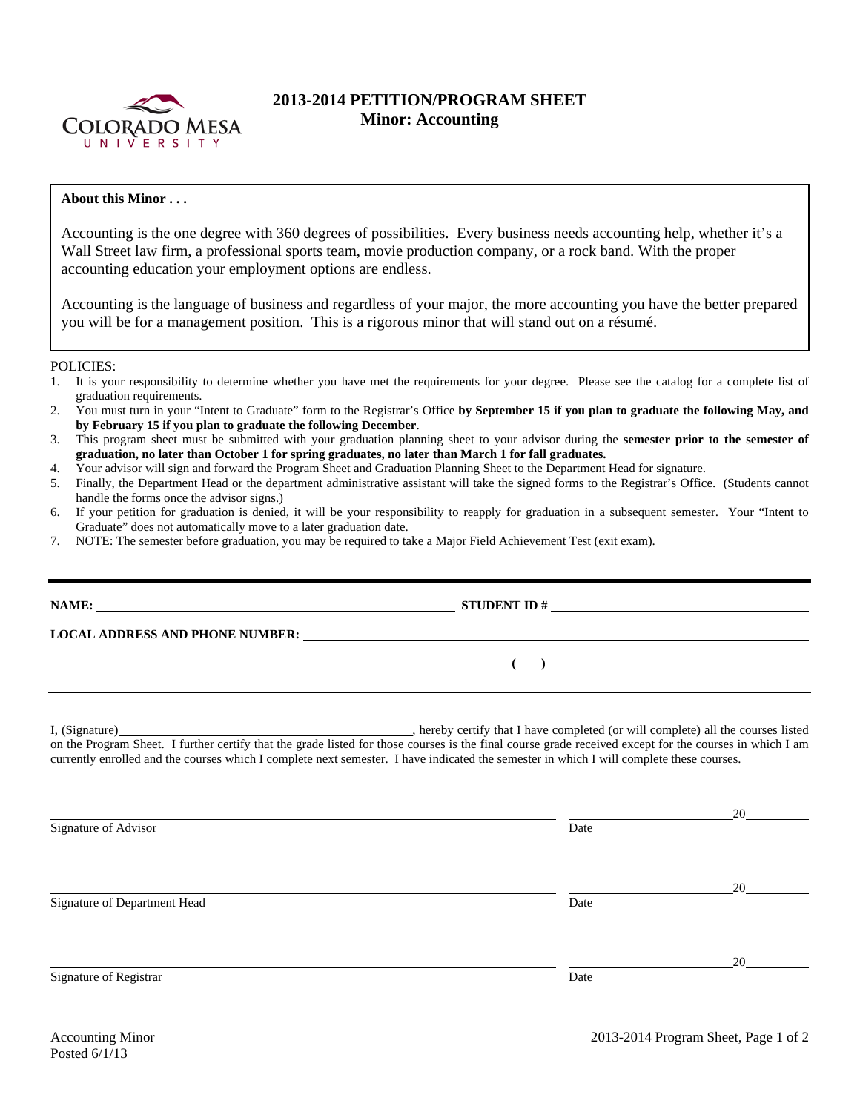

## **2013-2014 PETITION/PROGRAM SHEET Minor: Accounting**

## **About this Minor . . .**

Accounting is the one degree with 360 degrees of possibilities. Every business needs accounting help, whether it's a Wall Street law firm, a professional sports team, movie production company, or a rock band. With the proper accounting education your employment options are endless.

Accounting is the language of business and regardless of your major, the more accounting you have the better prepared you will be for a management position. This is a rigorous minor that will stand out on a résumé.

## POLICIES:

- 1. It is your responsibility to determine whether you have met the requirements for your degree. Please see the catalog for a complete list of graduation requirements.
- 2. You must turn in your "Intent to Graduate" form to the Registrar's Office **by September 15 if you plan to graduate the following May, and by February 15 if you plan to graduate the following December**.
- 3. This program sheet must be submitted with your graduation planning sheet to your advisor during the **semester prior to the semester of graduation, no later than October 1 for spring graduates, no later than March 1 for fall graduates.**
- 4. Your advisor will sign and forward the Program Sheet and Graduation Planning Sheet to the Department Head for signature.
- 5. Finally, the Department Head or the department administrative assistant will take the signed forms to the Registrar's Office. (Students cannot handle the forms once the advisor signs.)
- 6. If your petition for graduation is denied, it will be your responsibility to reapply for graduation in a subsequent semester. Your "Intent to Graduate" does not automatically move to a later graduation date.
- 7. NOTE: The semester before graduation, you may be required to take a Major Field Achievement Test (exit exam).

|                                                                                                                                                                                                                                                                                                     | STUDENT ID $\#$                                                                                                                                                                                                                                                                                            |    |  |  |  |  |
|-----------------------------------------------------------------------------------------------------------------------------------------------------------------------------------------------------------------------------------------------------------------------------------------------------|------------------------------------------------------------------------------------------------------------------------------------------------------------------------------------------------------------------------------------------------------------------------------------------------------------|----|--|--|--|--|
| LOCAL ADDRESS AND PHONE NUMBER: Under the contract of the contract of the contract of the contract of the contract of the contract of the contract of the contract of the contract of the contract of the contract of the cont                                                                      |                                                                                                                                                                                                                                                                                                            |    |  |  |  |  |
|                                                                                                                                                                                                                                                                                                     | $\overline{a}$ (b) and $\overline{a}$ (c) and $\overline{a}$ (c) and $\overline{a}$ (c) and $\overline{a}$ (c) and $\overline{a}$ (c) and $\overline{a}$ (c) and $\overline{a}$ (c) and $\overline{a}$ (c) and $\overline{a}$ (c) and $\overline{a}$ (c) and $\overline{a}$ (c) and $\overline{a}$ (c) and |    |  |  |  |  |
| on the Program Sheet. I further certify that the grade listed for those courses is the final course grade received except for the courses in which I am<br>currently enrolled and the courses which I complete next semester. I have indicated the semester in which I will complete these courses. |                                                                                                                                                                                                                                                                                                            |    |  |  |  |  |
| Signature of Advisor                                                                                                                                                                                                                                                                                | Date                                                                                                                                                                                                                                                                                                       | 20 |  |  |  |  |
| Signature of Department Head                                                                                                                                                                                                                                                                        | Date                                                                                                                                                                                                                                                                                                       | 20 |  |  |  |  |
| Signature of Registrar                                                                                                                                                                                                                                                                              | Date                                                                                                                                                                                                                                                                                                       | 20 |  |  |  |  |